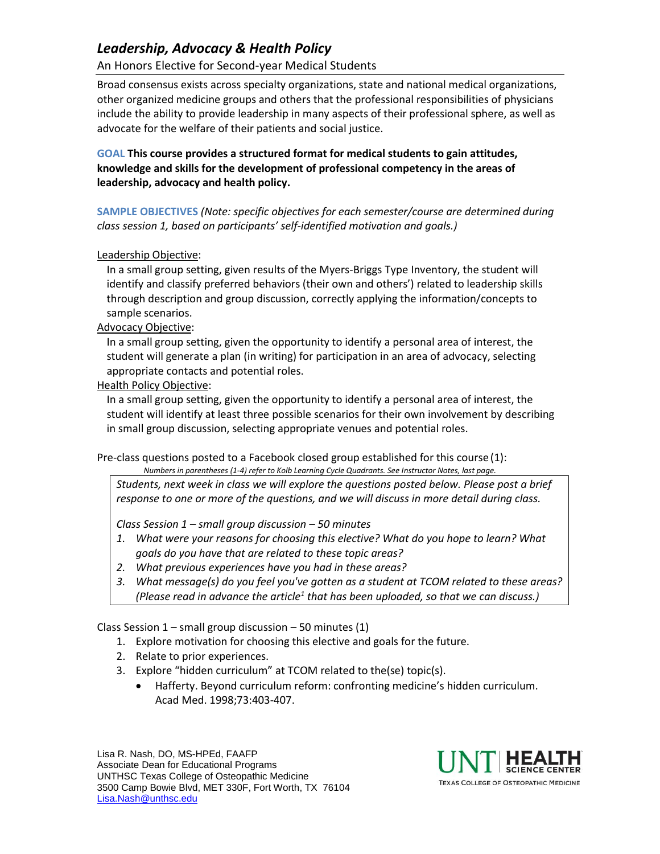# *Leadership, Advocacy & Health Policy*

An Honors Elective for Second-year Medical Students

Broad consensus exists across specialty organizations, state and national medical organizations, other organized medicine groups and others that the professional responsibilities of physicians include the ability to provide leadership in many aspects of their professional sphere, as well as advocate for the welfare of their patients and social justice.

**GOAL This course provides a structured format for medical students to gain attitudes, knowledge and skills for the development of professional competency in the areas of leadership, advocacy and health policy.** 

**SAMPLE OBJECTIVES** *(Note: specific objectives for each semester/course are determined during class session 1, based on participants' self-identified motivation and goals.)*

### Leadership Objective:

In a small group setting, given results of the Myers-Briggs Type Inventory, the student will identify and classify preferred behaviors (their own and others') related to leadership skills through description and group discussion, correctly applying the information/concepts to sample scenarios.

### Advocacy Objective:

In a small group setting, given the opportunity to identify a personal area of interest, the student will generate a plan (in writing) for participation in an area of advocacy, selecting appropriate contacts and potential roles.

### Health Policy Objective:

In a small group setting, given the opportunity to identify a personal area of interest, the student will identify at least three possible scenarios for their own involvement by describing in small group discussion, selecting appropriate venues and potential roles.

Pre-class questions posted to a Facebook closed group established for this course (1):

*Numbers in parentheses (1-4) refer to Kolb Learning Cycle Quadrants. See Instructor Notes, last page.*

*Students, next week in class we will explore the questions posted below. Please post a brief response to one or more of the questions, and we will discuss in more detail during class.*

*Class Session 1 – small group discussion – 50 minutes*

- *1. What were your reasons for choosing this elective? What do you hope to learn? What goals do you have that are related to these topic areas?*
- *2. What previous experiences have you had in these areas?*
- *3. What message(s) do you feel you've gotten as a student at TCOM related to these areas? (Please read in advance the article<sup>1</sup> that has been uploaded, so that we can discuss.)*

Class Session  $1$  – small group discussion – 50 minutes (1)

- 1. Explore motivation for choosing this elective and goals for the future.
- 2. Relate to prior experiences.
- 3. Explore "hidden curriculum" at TCOM related to the(se) topic(s).
	- Hafferty. Beyond curriculum reform: confronting medicine's hidden curriculum. Acad Med. 1998;73:403-407.

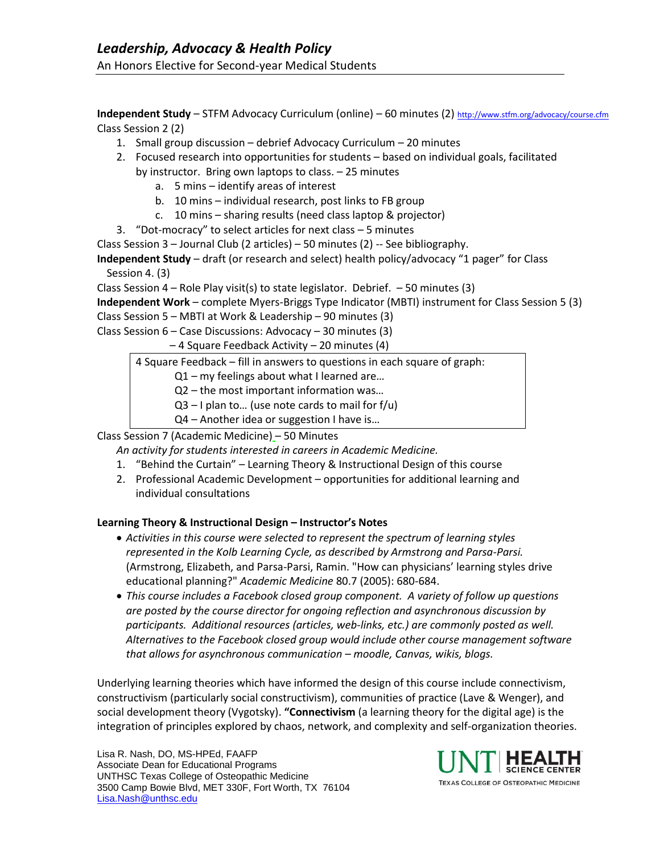**Independent Study** – STFM Advocacy Curriculum (online) – 60 minutes (2) <http://www.stfm.org/advocacy/course.cfm> Class Session 2 (2)

- 1. Small group discussion debrief Advocacy Curriculum 20 minutes
- 2. Focused research into opportunities for students based on individual goals, facilitated by instructor. Bring own laptops to class. – 25 minutes
	- a. 5 mins identify areas of interest
	- b. 10 mins individual research, post links to FB group
	- c. 10 mins sharing results (need class laptop & projector)
- 3. "Dot-mocracy" to select articles for next class 5 minutes
- Class Session 3 Journal Club (2 articles) 50 minutes (2) -- See bibliography.

**Independent Study** – draft (or research and select) health policy/advocacy "1 pager" for Class Session 4. (3)

Class Session  $4 -$  Role Play visit(s) to state legislator. Debrief.  $-50$  minutes (3)

**Independent Work** – complete Myers-Briggs Type Indicator (MBTI) instrument for Class Session 5 (3)

Class Session 5 – MBTI at Work & Leadership – 90 minutes (3) Class Session  $6 - Case$  Discussions: Advocacy  $-30$  minutes (3)

– 4 Square Feedback Activity – 20 minutes (4)

4 Square Feedback – fill in answers to questions in each square of graph:

Q1 – my feelings about what I learned are…

Q2 – the most important information was…

 $Q3 - I$  plan to... (use note cards to mail for f/u)

Q4 – Another idea or suggestion I have is…

Class Session 7 (Academic Medicine) – 50 Minutes

*An activity for students interested in careers in Academic Medicine.*

- 1. "Behind the Curtain" Learning Theory & Instructional Design of this course
- 2. Professional Academic Development opportunities for additional learning and individual consultations

## **Learning Theory & Instructional Design – Instructor's Notes**

- *Activities in this course were selected to represent the spectrum of learning styles represented in the Kolb Learning Cycle, as described by Armstrong and Parsa-Parsi.* (Armstrong, Elizabeth, and Parsa-Parsi, Ramin. "How can physicians' learning styles drive educational planning?" *Academic Medicine* 80.7 (2005): 680-684.
- *This course includes a Facebook closed group component. A variety of follow up questions are posted by the course director for ongoing reflection and asynchronous discussion by participants. Additional resources (articles, web-links, etc.) are commonly posted as well. Alternatives to the Facebook closed group would include other course management software that allows for asynchronous communication – moodle, Canvas, wikis, blogs.*

Underlying learning theories which have informed the design of this course include connectivism, constructivism (particularly social constructivism), communities of practice (Lave & Wenger), and social development theory (Vygotsky). **"Connectivism** (a learning theory for the digital age) is the integration of principles explored by chaos, network, and complexity and self-organization theories.



**TEXAS COLLEGE OF OSTEOPATHIC MEDICINE**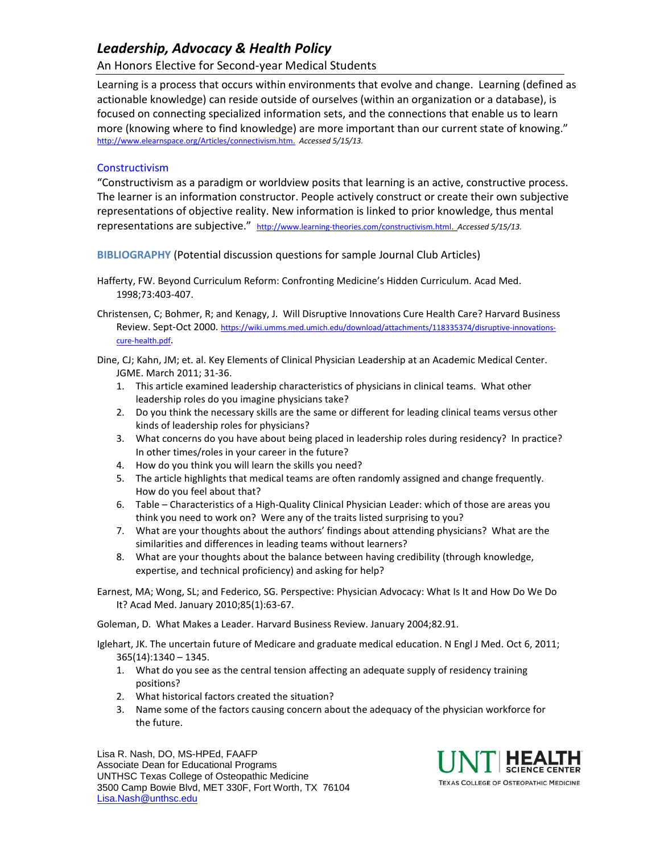# *Leadership, Advocacy & Health Policy*

## An Honors Elective for Second-year Medical Students

Learning is a process that occurs within environments that evolve and change. Learning (defined as actionable knowledge) can reside outside of ourselves (within an organization or a database), is focused on connecting specialized information sets, and the connections that enable us to learn more (knowing where to find knowledge) are more important than our current state of knowing." [http://www.elearnspace.org/Articles/connectivism.htm.](http://www.elearnspace.org/Articles/connectivism.htm) *Accessed 5/15/13.* 

#### **Constructivism**

"Constructivism as a paradigm or worldview posits that learning is an active, constructive process. The learner is an information constructor. People actively construct or create their own subjective representations of objective reality. New information is linked to prior knowledge, thus mental representations are subjective." [http://www.learning-theories.com/constructivism.html.](http://www.learning-theories.com/constructivism.html) *Accessed 5/15/13.* 

**BIBLIOGRAPHY** (Potential discussion questions for sample Journal Club Articles)

- Hafferty, FW. Beyond Curriculum Reform: Confronting Medicine's Hidden Curriculum. Acad Med. 1998;73:403-407.
- Christensen, C; Bohmer, R; and Kenagy, J. Will Disruptive Innovations Cure Health Care? Harvard Business Review. Sept-Oct 2000. [https://wiki.umms.med.umich.edu/download/attachments/118335374/disruptive-innovations](https://wiki.umms.med.umich.edu/download/attachments/118335374/disruptive-innovations-cure-health.pdf)[cure-health.pdf](https://wiki.umms.med.umich.edu/download/attachments/118335374/disruptive-innovations-cure-health.pdf).

Dine, CJ; Kahn, JM; et. al. Key Elements of Clinical Physician Leadership at an Academic Medical Center. JGME. March 2011; 31-36.

- 1. This article examined leadership characteristics of physicians in clinical teams. What other leadership roles do you imagine physicians take?
- 2. Do you think the necessary skills are the same or different for leading clinical teams versus other kinds of leadership roles for physicians?
- 3. What concerns do you have about being placed in leadership roles during residency? In practice? In other times/roles in your career in the future?
- 4. How do you think you will learn the skills you need?
- 5. The article highlights that medical teams are often randomly assigned and change frequently. How do you feel about that?
- 6. Table Characteristics of a High-Quality Clinical Physician Leader: which of those are areas you think you need to work on? Were any of the traits listed surprising to you?
- 7. What are your thoughts about the authors' findings about attending physicians? What are the similarities and differences in leading teams without learners?
- 8. What are your thoughts about the balance between having credibility (through knowledge, expertise, and technical proficiency) and asking for help?

Earnest, MA; Wong, SL; and Federico, SG. Perspective: Physician Advocacy: What Is It and How Do We Do It? Acad Med. January 2010;85(1):63-67.

Goleman, D. What Makes a Leader. Harvard Business Review. January 2004;82.91.

Iglehart, JK. The uncertain future of Medicare and graduate medical education. N Engl J Med. Oct 6, 2011; 365(14):1340 – 1345.

- 1. What do you see as the central tension affecting an adequate supply of residency training positions?
- 2. What historical factors created the situation?
- 3. Name some of the factors causing concern about the adequacy of the physician workforce for the future.

Lisa R. Nash, DO, MS-HPEd, FAAFP Associate Dean for Educational Programs UNTHSC Texas College of Osteopathic Medicine 3500 Camp Bowie Blvd, MET 330F, Fort Worth, TX 76104 [Lisa.Nash@unthsc.edu](mailto:Lisa.Nash@unthsc.edu)



**TEXAS COLLEGE OF OSTEOPATHIC MEDICINE**